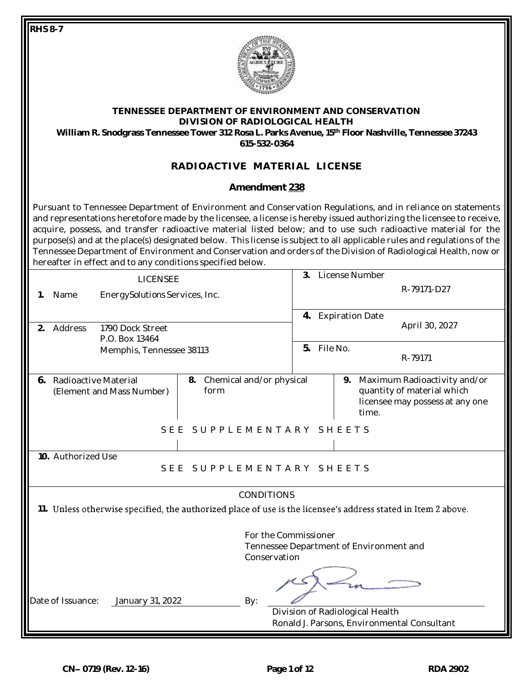**RHS 8-7**



#### **TENNESSEE DEPARTMENT OF ENVIRONMENT AND CONSERVATION DIVISION OF RADIOLOGICAL HEALTH William R. Snodgrass Tennessee Tower 312 Rosa L. Parks Avenue, 15th Floor Nashville, Tennessee 37243 615-532-0364**

# **RADIOACTIVE MATERIAL LICENSE**

### **Amendment 238**

Pursuant to Tennessee Department of Environment and Conservation Regulations, and in reliance on statements and representations heretofore made by the licensee, a license is hereby issued authorizing the licensee to receive, acquire, possess, and transfer radioactive material listed below; and to use such radioactive material for the purpose(s) and at the place(s) designated below. This license is subject to all applicable rules and regulations of the Tennessee Department of Environment and Conservation and orders of the Division of Radiological Health, now or hereafter in effect and to any conditions specified below.

|                                                                                                                                    |                      | <b>LICENSEE</b>                            |                                     | 3. |  | License Number                                                                                               |  |  |
|------------------------------------------------------------------------------------------------------------------------------------|----------------------|--------------------------------------------|-------------------------------------|----|--|--------------------------------------------------------------------------------------------------------------|--|--|
| 1.                                                                                                                                 | Name                 | Energy Solutions Services, Inc.            |                                     |    |  | R-79171-D27                                                                                                  |  |  |
| 2.                                                                                                                                 | Address              | 1790 Dock Street                           |                                     |    |  | 4. Expiration Date<br>April 30, 2027                                                                         |  |  |
|                                                                                                                                    |                      | P.O. Box 13464<br>Memphis, Tennessee 38113 |                                     |    |  | File No.<br>R-79171                                                                                          |  |  |
| 6.                                                                                                                                 | Radioactive Material | (Element and Mass Number)                  | 8. Chemical and/or physical<br>form |    |  | Maximum Radioactivity and/or<br>9.<br>quantity of material which<br>licensee may possess at any one<br>time. |  |  |
|                                                                                                                                    |                      | SEE                                        | SUPPLEMENTARY SHEETS                |    |  |                                                                                                              |  |  |
| 10. Authorized Use<br>SUPPLEMENTARY SHEETS<br>SEE                                                                                  |                      |                                            |                                     |    |  |                                                                                                              |  |  |
| <b>CONDITIONS</b><br>11. Unless otherwise specified, the authorized place of use is the licensee's address stated in Item 2 above. |                      |                                            |                                     |    |  |                                                                                                              |  |  |
| For the Commissioner<br>Tennessee Department of Environment and<br>Conservation                                                    |                      |                                            |                                     |    |  |                                                                                                              |  |  |
|                                                                                                                                    | Date of Issuance:    | January 31, 2022                           | By:                                 |    |  | Division of Radiological Health<br>Ronald J. Parsons, Environmental Consultant                               |  |  |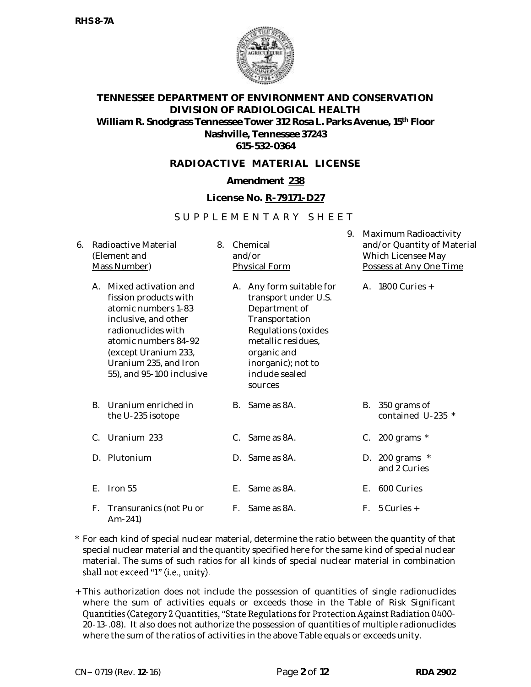

### **RADIOACTIVE MATERIAL LICENSE**

## **Amendment 238**

### **License No. R-79171-D27**

## S U P P L E M E N T A R Y S H E E T

| 6. | Radioactive Material<br>(Element and<br>Mass Number) |                                                                                                                                                                                                                          | 8. | Chemical<br>and/or<br><b>Physical Form</b> |                                                                                                                                                                                                    |  | Maximum Radioactivity<br>and/or Quantity of Material<br>Which Licensee May<br>Possess at Any One Time |                                   |  |
|----|------------------------------------------------------|--------------------------------------------------------------------------------------------------------------------------------------------------------------------------------------------------------------------------|----|--------------------------------------------|----------------------------------------------------------------------------------------------------------------------------------------------------------------------------------------------------|--|-------------------------------------------------------------------------------------------------------|-----------------------------------|--|
|    | $A_{\cdot}$                                          | Mixed activation and<br>fission products with<br>atomic numbers 1-83<br>inclusive, and other<br>radionuclides with<br>atomic numbers 84-92<br>(except Uranium 233,<br>Uranium 235, and Iron<br>55), and 95-100 inclusive |    |                                            | A. Any form suitable for<br>transport under U.S.<br>Department of<br>Transportation<br>Regulations (oxides<br>metallic residues,<br>organic and<br>inorganic); not to<br>include sealed<br>sources |  |                                                                                                       | A. 1800 Curies +                  |  |
|    | B.                                                   | Uranium enriched in<br>the U-235 isotope                                                                                                                                                                                 |    | В.                                         | Same as 8A.                                                                                                                                                                                        |  | В.                                                                                                    | 350 grams of<br>contained U-235 * |  |
|    | $C_{\cdot}$                                          | Uranium 233                                                                                                                                                                                                              |    | C.                                         | Same as 8A.                                                                                                                                                                                        |  |                                                                                                       | C. 200 grams $*$                  |  |
|    | D.                                                   | Plutonium                                                                                                                                                                                                                |    | D.                                         | Same as 8A.                                                                                                                                                                                        |  |                                                                                                       | D. 200 grams $*$<br>and 2 Curies  |  |
|    | F.                                                   | Iron 55                                                                                                                                                                                                                  |    | Е.                                         | Same as 8A.                                                                                                                                                                                        |  | Е.                                                                                                    | 600 Curies                        |  |
|    | F.                                                   | Transuranics (not Pu or<br>$Am-241$                                                                                                                                                                                      |    |                                            | F. Same as 8A.                                                                                                                                                                                     |  | F.                                                                                                    | 5 Curies +                        |  |

- \* For each kind of special nuclear material, determine the ratio between the quantity of that special nuclear material and the quantity specified here for the same kind of special nuclear material. The sums of such ratios for all kinds of special nuclear material in combination shall not exceed "1" (i.e., unity).
- + This authorization does not include the possession of quantities of single radionuclides where the sum of activities equals or exceeds those in the Table of Risk Significant Quantities (Category 2 Quantities, "State Regulations for Protection Against Radiation 0400-20-13-.08). It also does not authorize the possession of quantities of multiple radionuclides where the sum of the ratios of activities in the above Table equals or exceeds unity.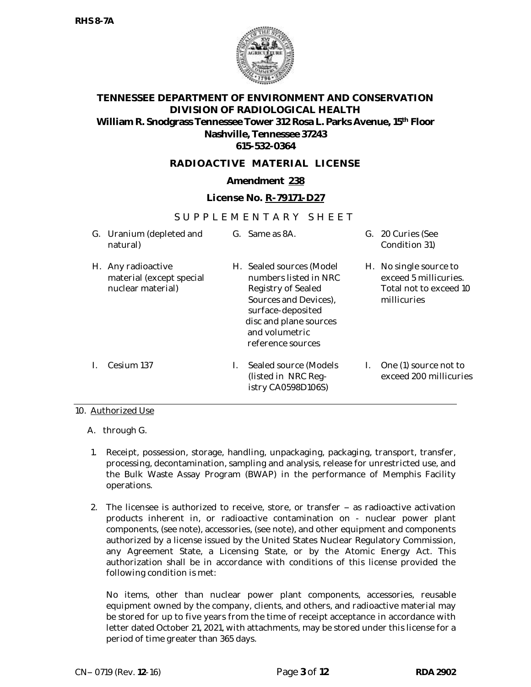

### **RADIOACTIVE MATERIAL LICENSE**

### **Amendment 238**

### **License No. R-79171-D27**

### S U P P L E M E N T A R Y S H F E T

|    | G. Uranium (depleted and<br>natural)                             |    | G. Same as 8A.                                                                                                                                                                      |    | G. 20 Curies (See<br>Condition 31)                                                       |
|----|------------------------------------------------------------------|----|-------------------------------------------------------------------------------------------------------------------------------------------------------------------------------------|----|------------------------------------------------------------------------------------------|
| Н. | Any radioactive<br>material (except special<br>nuclear material) | Н. | Sealed sources (Model<br>numbers listed in NRC<br>Registry of Sealed<br>Sources and Devices),<br>surface-deposited<br>disc and plane sources<br>and volumetric<br>reference sources |    | H. No single source to<br>exceed 5 millicuries.<br>Total not to exceed 10<br>millicuries |
|    | Cesium 137                                                       |    | Sealed source (Models<br>(listed in NRC Reg-<br>istry CA0598D106S)                                                                                                                  | L. | One (1) source not to<br>exceed 200 millicuries                                          |

#### 10. Authorized Use

- A. through G.
- 1. Receipt, possession, storage, handling, unpackaging, packaging, transport, transfer, processing, decontamination, sampling and analysis, release for unrestricted use, and the Bulk Waste Assay Program (BWAP) in the performance of Memphis Facility operations.
- 2. The licensee is authorized to receive, store, or transfer  $-$  as radioactive activation products inherent in, or radioactive contamination on - nuclear power plant components, (see note), accessories, (see note), and other equipment and components authorized by a license issued by the United States Nuclear Regulatory Commission, any Agreement State, a Licensing State, or by the Atomic Energy Act. This authorization shall be in accordance with conditions of this license provided the following condition is met:

No items, other than nuclear power plant components, accessories, reusable equipment owned by the company, clients, and others, and radioactive material may be stored for up to five years from the time of receipt acceptance in accordance with letter dated October 21, 2021, with attachments, may be stored under this license for a period of time greater than 365 days.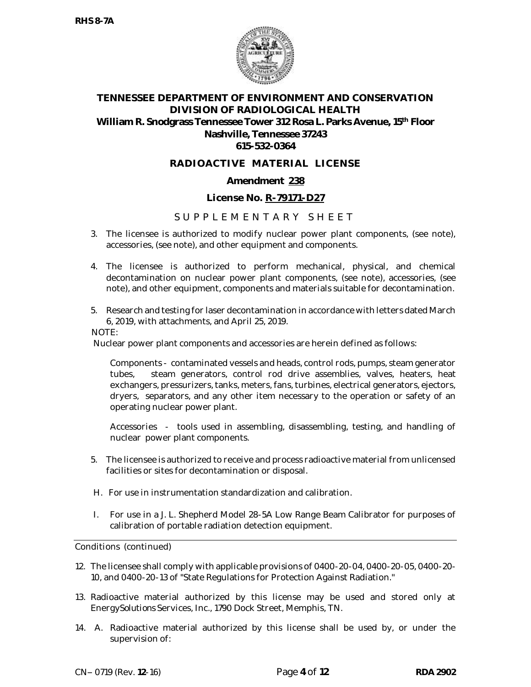

### **RADIOACTIVE MATERIAL LICENSE**

### **Amendment 238**

### **License No. R-79171-D27**

### S U P P L E M E N T A R Y S H E E T

- 3. The licensee is authorized to modify nuclear power plant components, (see note), accessories, (see note), and other equipment and components.
- 4. The licensee is authorized to perform mechanical, physical, and chemical decontamination on nuclear power plant components, (see note), accessories, (see note), and other equipment, components and materials suitable for decontamination.
- 5. Research and testing for laser decontamination in accordance with letters dated March 6, 2019, with attachments, and April 25, 2019.

NOTE:

Nuclear power plant components and accessories are herein defined as follows:

Components - contaminated vessels and heads, control rods, pumps, steam generator tubes, steam generators, control rod drive assemblies, valves, heaters, heat exchangers, pressurizers, tanks, meters, fans, turbines, electrical generators, ejectors, dryers, separators, and any other item necessary to the operation or safety of an operating nuclear power plant.

Accessories - tools used in assembling, disassembling, testing, and handling of nuclear power plant components.

- 5. The licensee is authorized to receive and process radioactive material from unlicensed facilities or sites for decontamination or disposal.
- H. For use in instrumentation standardization and calibration.
- I. For use in a J. L. Shepherd Model 28-5A Low Range Beam Calibrator for purposes of calibration of portable radiation detection equipment.

Conditions (continued)

- 12. The licensee shall comply with applicable provisions of 0400-20-04, 0400-20-05, 0400-20- 10, and 0400-20-13 of "State Regulations for Protection Against Radiation."
- 13. Radioactive material authorized by this license may be used and stored only at Energy*Solutions* Services, Inc., 1790 Dock Street, Memphis, TN.
- 14. A. Radioactive material authorized by this license shall be used by, or under the supervision of: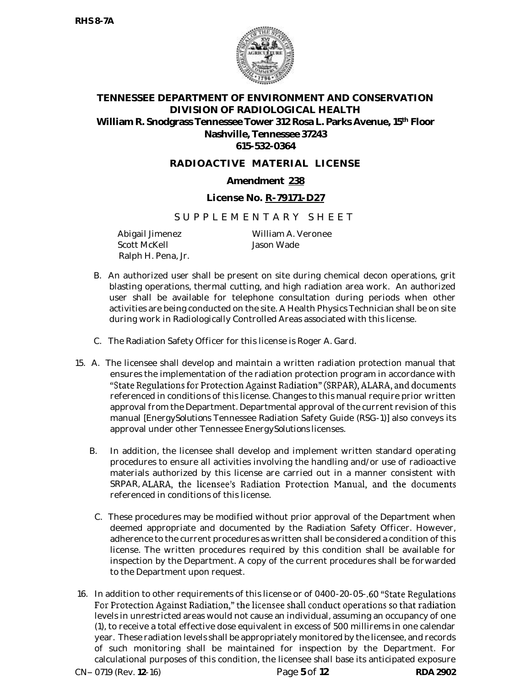

## **RADIOACTIVE MATERIAL LICENSE**

## **Amendment 238**

### **License No. R-79171-D27**

### S U P P L E M E N T A R Y S H E E T

Abigail Jimenez Scott McKell Ralph H. Pena, Jr.

William A. Veronee Jason Wade

- B. An authorized user shall be present on site during chemical decon operations, grit blasting operations, thermal cutting, and high radiation area work. An authorized user shall be available for telephone consultation during periods when other activities are being conducted on the site. A Health Physics Technician shall be on site during work in Radiologically Controlled Areas associated with this license.
- C. The Radiation Safety Officer for this license is Roger A. Gard.
- 15. A. The licensee shall develop and maintain a written radiation protection manual that ensures the implementation of the radiation protection program in accordance with "State Regulations for Protection Against Radiation" (SRPAR), ALARA, and documents referenced in conditions of this license. Changes to this manual require prior written approval from the Department. Departmental approval of the current revision of this manual [Energy*Solutions* Tennessee Radiation Safety Guide (RSG-1)] also conveys its approval under other Tennessee Energy*Solutions* licenses.
	- B. In addition, the licensee shall develop and implement written standard operating procedures to ensure all activities involving the handling and/or use of radioactive materials authorized by this license are carried out in a manner consistent with SRPAR, ALARA, the licensee's Radiation Protection Manual, and the documents referenced in conditions of this license.
	- C. These procedures may be modified without prior approval of the Department when deemed appropriate and documented by the Radiation Safety Officer. However, adherence to the current procedures as written shall be considered a condition of this license. The written procedures required by this condition shall be available for inspection by the Department. A copy of the current procedures shall be forwarded to the Department upon request.
- 16. In addition to other requirements of this license or of 0400-20-05-.60 "State Regulations For Protection Against Radiation," the licensee shall conduct operations so that radiation levels in unrestricted areas would not cause an individual, assuming an occupancy of one (1), to receive a total effective dose equivalent in excess of 500 millirems in one calendar year. These radiation levels shall be appropriately monitored by the licensee, and records of such monitoring shall be maintained for inspection by the Department. For calculational purposes of this condition, the licensee shall base its anticipated exposure CN 0719 (Rev. **12**-16) Page **5** of **12 RDA 2902**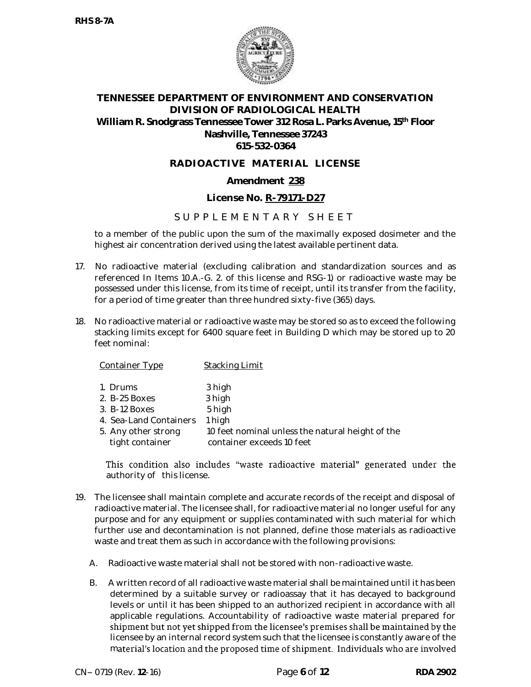

### **RADIOACTIVE MATERIAL LICENSE**

### **Amendment 238**

### **License No. R-79171-D27**

## S U P P L E M E N T A R Y S H E E T

to a member of the public upon the sum of the maximally exposed dosimeter and the highest air concentration derived using the latest available pertinent data.

- 17. No radioactive material (excluding calibration and standardization sources and as referenced In Items 10.A.-G. 2. of this license and RSG-1) or radioactive waste may be possessed under this license, from its time of receipt, until its transfer from the facility, for a period of time greater than three hundred sixty-five (365) days.
- 18. No radioactive material or radioactive waste may be stored so as to exceed the following stacking limits except for 6400 square feet in Building D which may be stored up to 20 feet nominal:

Container Type Stacking Limit

| 1. Drums | 3 high |
|----------|--------|

| 2. B-25 Boxes | 3 high |
|---------------|--------|

- 3. B-12 Boxes 5 high
- 4. Sea-Land Containers 1 high
- 5. Any other strong 10 feet nominal unless the natural height of the tight container container exceeds 10 feet

This condition also includes "waste radioactive material" generated under the authority of this license.

- 19. The licensee shall maintain complete and accurate records of the receipt and disposal of radioactive material. The licensee shall, for radioactive material no longer useful for any purpose and for any equipment or supplies contaminated with such material for which further use and decontamination is not planned, define those materials as radioactive waste and treat them as such in accordance with the following provisions:
	- A. Radioactive waste material shall not be stored with non-radioactive waste.
	- B. A written record of all radioactive waste material shall be maintained until it has been determined by a suitable survey or radioassay that it has decayed to background levels or until it has been shipped to an authorized recipient in accordance with all applicable regulations. Accountability of radioactive waste material prepared for shipment but not yet shipped from the licensee's premises shall be maintained by the licensee by an internal record system such that the licensee is constantly aware of the material's location and the proposed time of shipment. Individuals who are involved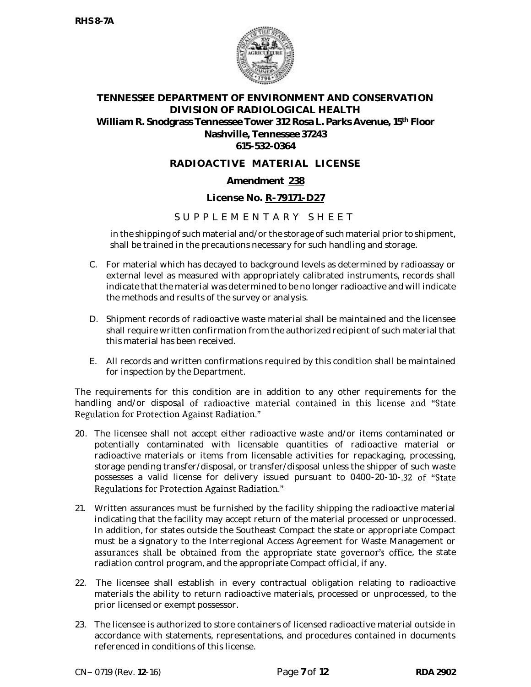

## **RADIOACTIVE MATERIAL LICENSE**

### **Amendment 238**

### **License No. R-79171-D27**

## S U P P L E M E N T A R Y S H F E T

in the shipping of such material and/or the storage of such material prior to shipment, shall be trained in the precautions necessary for such handling and storage.

- C. For material which has decayed to background levels as determined by radioassay or external level as measured with appropriately calibrated instruments, records shall indicate that the material was determined to be no longer radioactive and will indicate the methods and results of the survey or analysis.
- D. Shipment records of radioactive waste material shall be maintained and the licensee shall require written confirmation from the authorized recipient of such material that this material has been received.
- E. All records and written confirmations required by this condition shall be maintained for inspection by the Department.

The requirements for this condition are in addition to any other requirements for the handling and/or disposal of radioactive material contained in this license and "State Regulation for Protection Against Radiation."

- 20. The licensee shall not accept either radioactive waste and/or items contaminated or potentially contaminated with licensable quantities of radioactive material or radioactive materials or items from licensable activities for repackaging, processing, storage pending transfer/disposal, or transfer/disposal unless the shipper of such waste possesses a valid license for delivery issued pursuant to 0400-20-10-.32 of "State Regulations for Protection Against Radiation."
- 21. Written assurances must be furnished by the facility shipping the radioactive material indicating that the facility may accept return of the material processed or unprocessed. In addition, for states outside the Southeast Compact the state or appropriate Compact must be a signatory to the Interregional Access Agreement for Waste Management or assurances shall be obtained from the appropriate state governor's office, the state radiation control program, and the appropriate Compact official, if any.
- 22. The licensee shall establish in every contractual obligation relating to radioactive materials the ability to return radioactive materials, processed or unprocessed, to the prior licensed or exempt possessor.
- 23. The licensee is authorized to store containers of licensed radioactive material outside in accordance with statements, representations, and procedures contained in documents referenced in conditions of this license.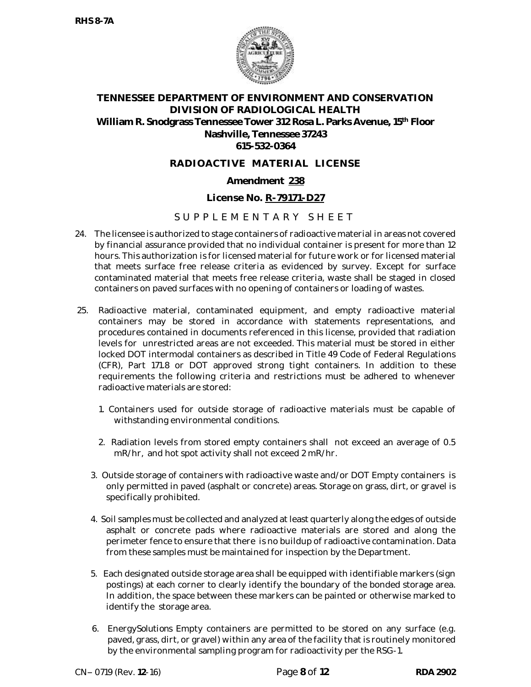

### **RADIOACTIVE MATERIAL LICENSE**

### **Amendment 238**

### **License No. R-79171-D27**

## S U P P L E M E N T A R Y S H F E T

- 24. The licensee is authorized to stage containers of radioactive material in areas not covered by financial assurance provided that no individual container is present for more than 12 hours. This authorization is for licensed material for future work or for licensed material that meets surface free release criteria as evidenced by survey. Except for surface contaminated material that meets free release criteria, waste shall be staged in closed containers on paved surfaces with no opening of containers or loading of wastes.
- 25. Radioactive material, contaminated equipment, and empty radioactive material containers may be stored in accordance with statements representations, and procedures contained in documents referenced in this license, provided that radiation levels for unrestricted areas are not exceeded. This material must be stored in either locked DOT intermodal containers as described in Title 49 Code of Federal Regulations (CFR), Part 171.8 or DOT approved strong tight containers. In addition to these requirements the following criteria and restrictions must be adhered to whenever radioactive materials are stored:
	- 1. Containers used for outside storage of radioactive materials must be capable of withstanding environmental conditions.
	- 2. Radiation levels from stored empty containers shall not exceed an average of 0.5 mR/hr, and hot spot activity shall not exceed 2 mR/hr.
	- 3. Outside storage of containers with radioactive waste and/or DOT Empty containers is only permitted in paved (asphalt or concrete) areas. Storage on grass, dirt, or gravel is specifically prohibited.
	- 4. Soil samples must be collected and analyzed at least quarterly along the edges of outside asphalt or concrete pads where radioactive materials are stored and along the perimeter fence to ensure that there is no buildup of radioactive contamination. Data from these samples must be maintained for inspection by the Department.
	- 5. Each designated outside storage area shall be equipped with identifiable markers (sign postings) at each corner to clearly identify the boundary of the bonded storage area. In addition, the space between these markers can be painted or otherwise marked to identify the storage area.
	- 6. Energy*Solutions* Empty containers are permitted to be stored on any surface (e.g. paved, grass, dirt, or gravel) within any area of the facility that is routinely monitored by the environmental sampling program for radioactivity per the RSG-1.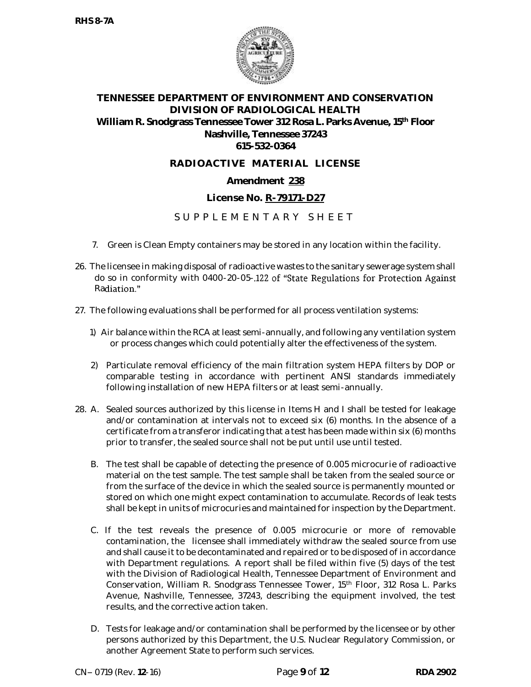

### **RADIOACTIVE MATERIAL LICENSE**

### **Amendment 238**

### **License No. R-79171-D27**

## S U P P L E M E N T A R Y S H F E T

- 7. Green is Clean Empty containers may be stored in any location within the facility.
- 26. The licensee in making disposal of radioactive wastes to the sanitary sewerage system shall do so in conformity with 0400-20-05-.122 of "State Regulations for Protection Against Radiation."
- 27. The following evaluations shall be performed for all process ventilation systems:
	- 1) Air balance within the RCA at least semi-annually, and following any ventilation system or process changes which could potentially alter the effectiveness of the system.
	- 2) Particulate removal efficiency of the main filtration system HEPA filters by DOP or comparable testing in accordance with pertinent ANSI standards immediately following installation of new HEPA filters or at least semi-annually.
- 28. A. Sealed sources authorized by this license in Items H and I shall be tested for leakage and/or contamination at intervals not to exceed six (6) months. In the absence of a certificate from a transferor indicating that a test has been made within six (6) months prior to transfer, the sealed source shall not be put until use until tested.
	- B. The test shall be capable of detecting the presence of 0.005 microcurie of radioactive material on the test sample. The test sample shall be taken from the sealed source or from the surface of the device in which the sealed source is permanently mounted or stored on which one might expect contamination to accumulate. Records of leak tests shall be kept in units of microcuries and maintained for inspection by the Department.
	- C. If the test reveals the presence of 0.005 microcurie or more of removable contamination, the licensee shall immediately withdraw the sealed source from use and shall cause it to be decontaminated and repaired or to be disposed of in accordance with Department regulations. A report shall be filed within five (5) days of the test with the Division of Radiological Health, Tennessee Department of Environment and Conservation, William R. Snodgrass Tennessee Tower, 15<sup>th</sup> Floor, 312 Rosa L. Parks Avenue, Nashville, Tennessee, 37243, describing the equipment involved, the test results, and the corrective action taken.
	- D. Tests for leakage and/or contamination shall be performed by the licensee or by other persons authorized by this Department, the U.S. Nuclear Regulatory Commission, or another Agreement State to perform such services.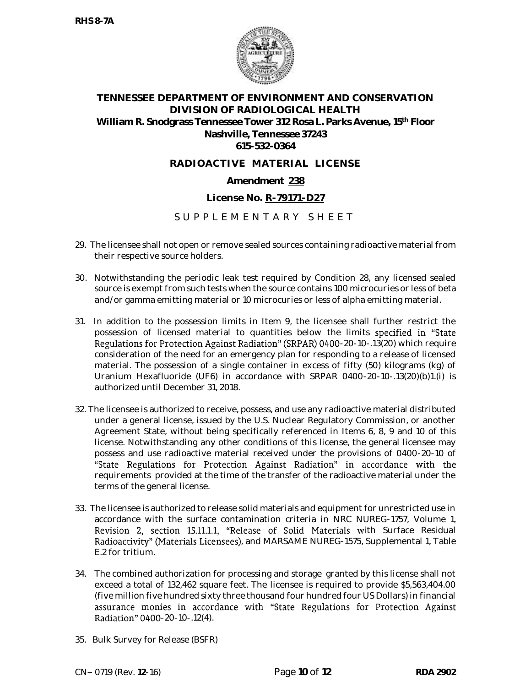

### **RADIOACTIVE MATERIAL LICENSE**

### **Amendment 238**

### **License No. R-79171-D27**

## S U P P L E M E N T A R Y S H F E T

- 29. The licensee shall not open or remove sealed sources containing radioactive material from their respective source holders.
- 30. Notwithstanding the periodic leak test required by Condition 28, any licensed sealed source is exempt from such tests when the source contains 100 microcuries or less of beta and/or gamma emitting material or 10 microcuries or less of alpha emitting material.
- 31. In addition to the possession limits in Item 9, the licensee shall further restrict the possession of licensed material to quantities below the limits specified in "State Regulations for Protection Against Radiation" (SRPAR) 0400-20-10-.13(20) which require consideration of the need for an emergency plan for responding to a release of licensed material. The possession of a single container in excess of fifty (50) kilograms (kg) of Uranium Hexafluoride (UF6) in accordance with SRPAR 0400-20-10-.13(20)(b)1.(i) is authorized until December 31, 2018.
- 32. The licensee is authorized to receive, possess, and use any radioactive material distributed under a general license, issued by the U.S. Nuclear Regulatory Commission, or another Agreement State, without being specifically referenced in Items 6, 8, 9 and 10 of this license. Notwithstanding any other conditions of this license, the general licensee may possess and use radioactive material received under the provisions of 0400-20-10 of "State Regulations for Protection Against Radiation" in accordance with the requirements provided at the time of the transfer of the radioactive material under the terms of the general license.
- 33. The licensee is authorized to release solid materials and equipment for unrestricted use in accordance with the surface contamination criteria in NRC NUREG-1757, Volume 1, Revision 2, section 15.11.1.1, "Release of Solid Materials with Surface Residual Radioactivity" (Materials Licensees), and MARSAME NUREG-1575, Supplemental 1, Table E.2 for tritium.
- 34. The combined authorization for processing and storage granted by this license shall not exceed a total of 132,462 square feet. The licensee is required to provide \$5,563,404.00 (five million five hundred sixty three thousand four hundred four US Dollars) in financial assurance monies in accordance with "State Regulations for Protection Against **Radiation" 0400**-20-10-.12(4).
- 35. Bulk Survey for Release (BSFR)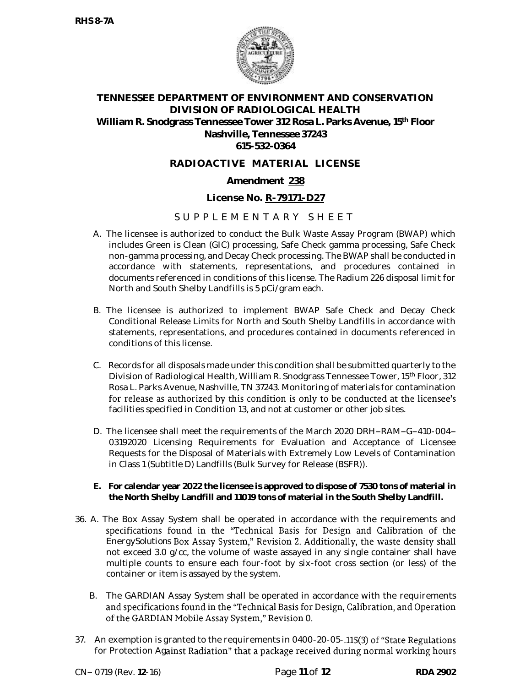

### **RADIOACTIVE MATERIAL LICENSE**

### **Amendment 238**

### **License No. R-79171-D27**

## S U P P L E M E N T A R Y S H E E T

- A. The licensee is authorized to conduct the Bulk Waste Assay Program (BWAP) which includes Green is Clean (GIC) processing, Safe Check gamma processing, Safe Check non-gamma processing, and Decay Check processing. The BWAP shall be conducted in accordance with statements, representations, and procedures contained in documents referenced in conditions of this license. The Radium 226 disposal limit for North and South Shelby Landfills is 5 pCi/gram each.
- B. The licensee is authorized to implement BWAP Safe Check and Decay Check Conditional Release Limits for North and South Shelby Landfills in accordance with statements, representations, and procedures contained in documents referenced in conditions of this license.
- C. Records for all disposals made under this condition shall be submitted quarterly to the Division of Radiological Health, William R. Snodgrass Tennessee Tower, 15th Floor, 312 Rosa L. Parks Avenue, Nashville, TN 37243. Monitoring of materials for contamination for release as authorized by this condition is only to be conducted at the licensee's facilities specified in Condition 13, and not at customer or other job sites.
- D. The licensee shall meet the requirements of the March 2020 DRH-RAM-G-410-004-03192020 Licensing Requirements for Evaluation and Acceptance of Licensee Requests for the Disposal of Materials with Extremely Low Levels of Contamination in Class 1 (Subtitle D) Landfills (Bulk Survey for Release (BSFR)).
- **E. For calendar year 2022 the licensee is approved to dispose of 7530 tons of material in the North Shelby Landfill and 11019 tons of material in the South Shelby Landfill.**
- 36. A. The Box Assay System shall be operated in accordance with the requirements and specifications found in the "Technical Basis for Design and Calibration of the Energy*Solutions* Box Assay System," Revision 2. Additionally, the waste density shall not exceed 3.0 g/cc, the volume of waste assayed in any single container shall have multiple counts to ensure each four-foot by six-foot cross section (or less) of the container or item is assayed by the system.
	- B. The GARDIAN Assay System shall be operated in accordance with the requirements and specifications found in the "Technical Basis for Design, Calibration, and Operation of the GARDIAN Mobile Assay System," Revision 0.
- 37. An exemption is granted to the requirements in 0400-20-05-.115(3) of "State Regulations for Protection Against Radiation" that a package received during normal working hours